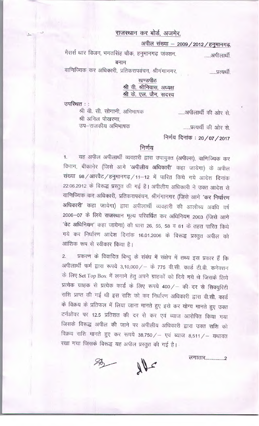## राजस्थान कर बोर्ड, अजमेर.

अपील संख्या - 2009 / 2012 / हनुमानगढ़.

मैसर्स थार विजन, भगतसिंह चौक, हनुमानगढ़ जंक्शन. ......अपीलार्थी

बनाम

वाणिज्यिक कर अधिकारी, प्रतिकरापवंचन, श्रीगंगानगर.

......प्रत्यर्थी.

खण्डपीठ श्री वी. श्रीनिवास, अध्यक्ष श्री के. एल. जैन, सदस्य

उपस्थित ::

श्री वी. सी. सोगानी, अभिभाषक श्री अनिल पोखरणा. उप–राजकीय अभिभाषक

......अपीलार्थी की ओर से

......प्रत्यर्थी की ओर से.

निर्णय दिनांक: 20/07/2017

## निर्णय

1. यह अपील अपीलार्थी व्यवहारी द्वारा उपायुक्त (अपील्स), वाणिज्यिक कर विभाग, बीकानेर (जिसे आगे 'अपीलीय अधिकारी' कहा जायेगा) के अपील संख्या 98 / आरवैट / हनुमानगढ़ / 11-12 में पारित किये गये आदेश दिनांक 22.06.2012 के विरूद्ध प्रस्तुत की गई है। अपीलीय अधिकारी ने उक्त आदेश से वाणिज्यिक कर अधिकारी, प्रतिकरापवंचन, श्रीगंगानगर (जिसे आगे 'कर निर्धारण अधिकारी' कहा जायेगा) द्वारा अपीलार्थी व्यवहारी की आलौच्य अवधि वर्ष 2006-07 के लिये राजस्थान मूल्य परिवर्धित कर अधिनियम 2003 (जिसे आगे 'वेट अधिनियम' कहा जायेगा) की धारा 26, 55, 58 व 61 के तहत पारित किये गये कर निर्धारण आदेश दिनांक 16.01.2006 के विरूद्ध प्रस्तुत अपील को आंशिक रूप से स्वीकार किया है।

प्रकरण के विवादित बिन्दु के संबंध में संक्षेप में तथ्य इस प्रकार हैं कि  $\overline{2}$ . अपीलार्थी फर्म द्वारा रूपये 3,10,000/ - के 775 वी.सी. कार्ड टी.वी. कनेक्शन के लिए Set Top Box में लगाने हेतु अपने ग्राहकों को दिये गये थे जिसके लिये प्रत्येक ग्राहक से प्रत्येक कार्ड के लिए रूपये 400/ - की दर से सिक्युरिटी राशि प्राप्त की गई थी इस राशि को कर निर्धारण अधिकारी द्वारा वी.सी. कार्ड के विक्रय के प्रतिफल में लिया जाना मानते हुए इसे कर योग्य मानते हुए उक्त टर्नओवर पर 12.5 प्रतिशत की दर से कर एवं ब्याज आरोपित किया गया जिसके विरूद्ध अपील की जाने पर अपीलीय अधिकारी द्वारा उक्त राशि को विक्रय राशि मानते हुए कर रूपये 38,750/ - एवं ब्याज 8,511/ - यथावत रखा गया जिसके विरूद्ध यह अपील प्रस्तुत की गई है।

लगातार...................2